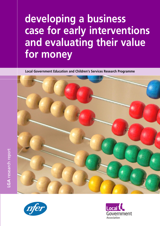# **developing a business case for early interventions and evaluating their value for money**

**Local Government Education and Children's Services Research Programme**





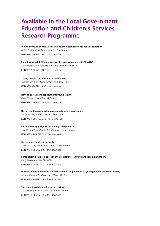# **Available in the Local Government Education and Children's Services Research Programme**

#### **Views of young people with SEN and their parents on residential education**

*Helen Poet Kath Wilkinson and Caroline Sharp* ISBN 978-1-906792-93-0, free download

#### **Planning for adult life and services for young people with SEN/LDD** *Kerry Martin Ruth Hart Richard White and Caroline Sharp*

ISBN 978-1-906792-94-7, free download

#### **Young people's aspirations in rural areas**

*Thomas Spielhofer Sarah Golden and Kelly Evans* ISBN 978-1-906792-91-6, free download

#### **How to sustain and replicate effective practice**

*Clare Southcott and Tami McCrone* ISBN 978-1-906792-88-6, free download

#### **Devon multi-agency safeguarding hub: case-study report**

*Sarah Golden, Helen Aston and Ben Durbin* ISBN 978 1 906 792 87 9, free download

#### **Local authority progress in tackling child poverty**

*Julie Nelson, Lisa O'Donnell and Caroline Filmer-Sankey* ISBN 978 1 906 792 82 4, free download

#### **Governance models in schools**

*Tami McCrone, Clare Southcott and Nalia George* ISBN 978 1 906792 83 1, free download

#### **Safeguarding children peer review programme: learning and recommendations**

*Kerry Martin and Jennifer Jeffes* ISBN 978 1 906792 81 7, free download

#### **Hidden talents: exploiting the link between engagement of young people and the economy**

*George Bramley, Liz Phillips and Shona Macleod* ISBN 978 1 906792 79 4, free download

#### **Safeguarding children: literature review**

*Kerry Martin, Jennifer Jeffes and Shona Macleod*

ISBN 978 1 906792 72 5, free download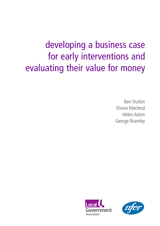# developing a business case for early interventions and evaluating their value for money

Ben Durbin Shona Macleod Helen Aston George Bramley



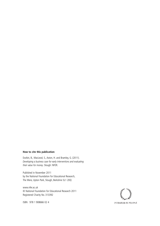#### **How to cite this publication:**

Durbin, B., MacLeod, S., Aston, H. and Bramley, G. (2011). *Developing a business case for early interventions and evaluating their value for money*. Slough: NFER.

Published in November 2011 by the National Foundation for Educational Research, The Mere, Upton Park, Slough, Berkshire SL1 2DQ

www.nfer.ac.uk © National Foundation for Educational Research 2011 Registered Charity No. 313392

ISBN 978 1 908666 02 4

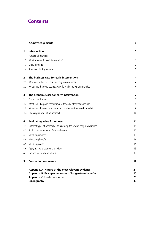# **Contents**

|     | Acknowledgements                                                                          | ij.            |
|-----|-------------------------------------------------------------------------------------------|----------------|
| 1   | <b>Introduction</b>                                                                       | 1              |
| 1.1 | Purpose of this work                                                                      | 1              |
|     | 1.2 What is meant by early intervention?                                                  | $\mathbf{1}$   |
| 1.3 | Study methods                                                                             | $\overline{2}$ |
| 1.4 | Structure of this guidance                                                                | 2              |
| 2   | The business case for early interventions                                                 | 4              |
| 2.1 | Why make a business case for early interventions?                                         | $\overline{4}$ |
|     | 2.2 What should a good business case for early intervention include?                      | 4              |
| 3   | The economic case for early intervention                                                  | 7              |
| 3.1 | The economic case                                                                         | 7              |
|     | 3.2 What should a good economic case for early intervention include?                      | 8              |
| 3.3 | What should a good monitoring and evaluation framework include?                           | 9              |
| 3.4 | Choosing an evaluation approach                                                           | 10             |
| 4   | <b>Evaluating value for money</b>                                                         | 11             |
| 4.1 | Different types of approaches to assessing the VfM of early interventions                 | 11             |
| 4.2 | Setting the parameters of the evaluation                                                  | 12             |
| 4.3 | Measuring impact                                                                          | 13             |
| 4.4 | Measuring benefits                                                                        | 14             |
| 4.5 | Measuring costs                                                                           | 15             |
|     | 4.6 Applying sound economic principles                                                    | 15             |
| 4.7 | Examples of VfM evaluations                                                               | 17             |
|     | 5 Concluding comments                                                                     | 19             |
|     | Appendix A Nature of the most relevant evidence                                           | 21             |
|     | Appendix B Example measures of longer-term benefits<br><b>Appendix C Useful resources</b> | 25<br>28       |
|     | <b>Bibliography</b>                                                                       | 30             |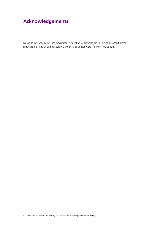# **Acknowledgements**

We would like to thank the Local Government Association for providing the NFER with the opportunity to undertake this research, and particularly David Pye and Oonagh Aitken for their contributions.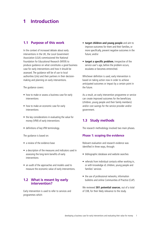# **1 Introduction**

## **1.1 Purpose of this work**

In the context of increased debate about early interventions in the UK, the Local Government Association (LGA) commissioned the National Foundation for Educational Research (NFER) to produce guidance on what constitutes a good business case for early interventions and how it should be assessed. The guidance will be of use to local authorities (LAs) and their partners in their decisionmaking and planning on early interventions.

The guidance covers:

- how to make or assess a business case for early interventions
- how to make an economic case for early interventions
- the key considerations in evaluating the value for money (VfM) of early interventions
- definitions of key VfM terminology.

The quidance is based on:

- a review of the evidence base
- a description of the measures and indicators used in assessing the long-term benefits of early interventions
- an audit of the approaches and models used to measure the economic value of early interventions.

## **1.2 What is meant by early intervention?**

Early intervention is used to refer to services and programmes which:

- **target children and young people** and aim to improve outcomes for them and their families, or more specifically, prevent negative outcomes in the future; and/or
- **target a specific problem**, irrespective of the service user's age, before the problem occurs, escalates or becomes entrenched.

Whichever definition is used, early intervention is based on taking action now in order to achieve anticipated outcomes or impact by a certain point in the future.

As a result, an early intervention programme or service can create improved outcomes for the beneficiary (children, young people and their family members) and/or cost savings for the service provider and/or government.

## **1.3 Study methods**

The research methodology involved two main phases.

#### **Phase 1: scoping the evidence**

Relevant evaluation and research evidence was identified in three ways, through:

- bibliographic database and website searches
- referrals from individual contacts either working in, or with knowledge of, children, young people and families' services
- the use of professional networks, information bulletins and online Communities of Practice (CoP).

We reviewed **301 potential sources**, out of a total of 338, for their likely relevance to the study.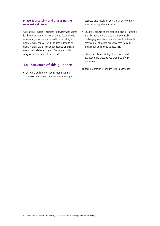#### **Phase 2: assessing and analysing the relevant evidence**

All sources of evidence selected for review were scored for their relevance on a scale of one to five, with one representing a low relevance and five indicating a highly relevant source. The 30 sources judged to be highly relevant were selected for detailed analysis to assess their validity and rigour. The results of this analysis form the basis of this report.

## **1.4 Structure of this guidance**

• Chapter 2 outlines the rationale for making a business case for early interventions; what a good

business case should include; and what to consider when assessing a business case.

- Chapter 3 focuses on the economic case for investing in early interventions, a crucial and potentially challenging aspect of a business case. It outlines the core features of a good economic case for early intervention and how to achieve this.
- Chapter 4 sets out the key elements of a VfM evaluation and presents two examples of VfM evaluations.

Further information is included in the appendices.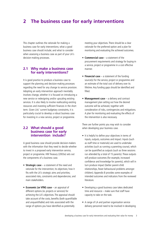# **2 The business case for early interventions**

This chapter outlines the rationale for making a business case for early interventions; what a good business case should include; and what to consider when assessing a business case as part of your LA's decision-making processes.

#### **2.1 Why make a business case for early interventions?**

It is good practice to produce a business case to support the planning and decision-making processes regarding the need for any change to service provision. Adopting an early intervention approach inevitably involves change, whether it is focused on introducing a new service or redesigning and/or upscaling existing services. It is also likely to involve reallocating existing resources and investing sufficient finances in the short term. Given LAs' current budgetary constraints, it is particularly crucial to develop a robust business case for investing in a new service, project or programme.

#### **2.2 What should a good business case for early intervention include?**

A good business case should provide decision-makers with the information that they need to decide whether to invest in a proposed early intervention service, project or programme. HM Treasury (2003a) sets out the components of a business case.

- **Strategic case** a statement of the need and rationale for the intervention; its objectives; how it fits with the LA's strategic aims and priorities; associated risks, constraints and dependencies; and main stakeholders.
- **Economic (or VfM) case** an appraisal of different options (ie. projects or services) for achieving the LA's objectives. The appraisal should take account of the costs, benefits (both quantifiable and unquantifiable) and risks associated with the range of options you have identified as potentially

meeting your objectives. There should be a clear rationale for the preferred option and a plan for monitoring and evaluating the achieved outcomes.

- **Commercial case** a statement of the procurement requirements and strategy for buying-in a service, project or programme in a cost effective manner.
- **Financial case** a statement of the funding source(s) for the service, project or programme and an estimate of the total cost of delivery over its lifetime. Any funding gaps should be identified and filled.
- **Management case** a delivery and contract management plan setting out how the desired outcome will be achieved, together with consideration of risks, contingencies and mitigations. A plan for monitoring and evaluating the effects of the intervention is also necessary.

There are further points you may wish to consider when developing your business case.

- It is helpful to define your objectives in terms of inputs, outputs, outcomes and impact. Inputs (such as staff time or materials) are used to undertake activities (such as running a parenting course), which can be quantified as outputs (such as three sessions run attended by a total of 15 parents). These outputs will produce outcomes (for example, increased confidence and knowledge for parents), which will in turn produce impact (better parent-child relationships, fewer behavioural problems amongst children). Appendix B provides some examples of intended outcomes and indicators from the reviewed literature.
- Developing a good business case takes dedicated time and resource – make sure that staff have capacity to take on the task.
- A range of LA and partner organisation service delivery personnel need to be involved in developing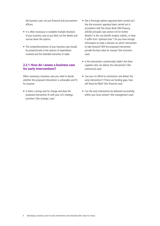the business case, not just financial and procurement officers.

- It is often necessary to complete multiple iterations of your business case as you flesh out the details and narrow down the options.
- The comprehensiveness of your business case should be proportionate to the amount of expenditure involved and the intended outcomes at stake.

#### **2.2.1 How do I assess a business case for early interventions?**

When assessing a business case you need to decide whether the proposed intervention is achievable and fit for purpose.

• Is there a strong case for change and does the proposed intervention fit with your LA's strategic priorities? (the strategic case)

- Has a thorough options appraisal been carried out? Has the economic appraisal been carried out in accordance with The Green Book (HM Treasury, 2003b) principles (see section 4.6 for further details)? Is the cost benefit analysis realistic, or does it suffer from 'optimism bias'? Do you have enough information to make a decision on which intervention to take forward? Will the proposed intervention provide the best value for money? (the economic case)
- Is the intervention commercially viable? Are there suppliers who can deliver the intervention? (the commercial case)
- Can your LA afford to commission and deliver the early intervention? If there are funding gaps, how will these be filled? (the financial case)
- Can the early intervention be delivered successfully, within your local context? (the management case)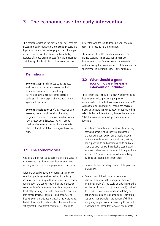# **3 The economic case for early intervention**

This chapter focuses on the core of a business case for investing in early interventions: the economic case. This is potentially the most challenging and technical aspect of the business case. The chapter outlines the key features of a good economic case for early intervention and the steps for developing such an economic case.

#### **Definitions**

**Economic appraisal** involves using the best available data to model and assess the likely economic benefits of a proposed early intervention (and a series of other possible options). It is a core aspect of a business case for significant investment.

**Economic evaluation** of VfM is concerned with assessing the economic benefits of existing programmes and interventions in which activities have already been delivered. You will need to consider what economic evaluation should take place post-implementation within your business plan.

## **3.1 The economic case**

Clearly it is important to be able to assess the value for money offered by different early interventions, when deciding which services and programmes to invest in.

Adopting an early intervention approach can involve redesigning existing services, reallocating existing resources, and investing additional finances in the short term to cover the period required for the anticipated economic benefits to emerge. It is, therefore, necessary to identify the range and scale of anticipated benefits (the consequences, or outcomes and impact, of an intervention), and attempt to attach a monetary value, both to them and to costs avoided. These can then be set against the investment of resources – the costs

associated with the inputs defined in your strategic case – in a specific early intervention.

The economic benefits of early interventions can include avoiding higher costs for services and interventions in the future (cost-related rationale) and/or avoiding the occurrence or escalation of certain social trends in the future (social utility rationale).

#### **3.2 What should a good economic case for early intervention include?**

The economic case should establish whether the early intervention service, project or programme recommended within the business case optimises VfM. A robust options appraisal will enable the decisionmaker to compare the results between options to help select the best solution (that is, the one that optimises VfM). The economic case will perform a number of functions.

- Identify and quantify, where possible, the monetary costs and benefits of all-shortlisted services or projects being considered. Costs should include capital and replacement costs, staff costs, training and support costs, and operational costs, and care should be taken to avoid any double counting. All estimated values need to be as realistic as possible – section 3.2.1 provides some ideas for identifying evidence to support the economic case.
- Describe the non-monetary benefits of the proposed intervention.
- Take account of the risks and uncertainties associated with your different options (known as 'sensitivity analysis'). You could consider how much a variable would have to fall (if it is a benefit) or rise (if it is a cost) to make it not worth undertaking an option. You could also look at some possible future scenarios – for example, if the number of children and young people in care increased by 10 per cent, what would this mean for your costs and benefits?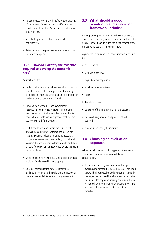- Adjust monetary costs and benefits to take account of the range of factors which may affect the net effect of an intervention. Section 4.6 provides more details on this.
- Identify the preferred option (the one which optimises VfM).
- Set out a monitoring and evaluation framework for the proposed option.

#### **3.2.1 How do I identify the evidence required to develop the economic case?**

You will need to:

- Understand what data you have available on the cost and effectiveness of current provision. These might be in your business plan, management information or studies that you have commissioned.
- Draw on your networks, Local Government Association communities of practice and internet searches to find out whether other local authorities have initiatives with similar objectives that you can use to develop different options.
- Look for wider evidence about the costs of not intervening early with your target group. This can take many forms including longitudinal research, programme evaluations, case studies, and national statistics. Do not be afraid to think laterally and draw on data for equivalent target groups, where there is a lack of evidence.
- Select and use the most robust and appropriate data available (as discussed in this chapter).
- Consider commissioning new research where evidence is limited and the scale and significance of the proposed early intervention changes warrant it.

## **3.3 What should a good monitoring and evaluation framework include?**

Proper planning for monitoring and evaluation of the service, project or programme is an important part of a business case. It should guide the measurement of the project objectives after implementation.

A good monitoring and evaluation framework will set out:

- project inputs
- aims and objectives
- target beneficiary group(s)
- activities to be undertaken
- targets.

It should also specify:

- collection of baseline information and statistics
- the monitoring systems and procedures to be adopted
- a plan for evaluating the invention.

## **3.4 Choosing an evaluation approach**

When choosing an evaluation approach, there are a number of issues you may wish to take into consideration.

• The scale of the early intervention and budget available.The greater these are, the greater the rigour that will be both possible and appropriate. Similarly, the larger the costs and benefits are expected to be, the greater the degree of scrutiny and rigour that is warranted. Does your intervention warrant investing in more sophisticated evaluation techniques available?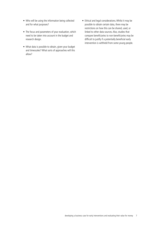- Who will be using the information being collected and for what purposes?
- The focus and parameters of your evaluation, which need to be taken into account in the budget and research design.
- What data is possible to obtain, given your budget and timescales? What sorts of approaches will this allow?
- Ethical and legal considerations.Whilst it may be possible to obtain certain data, there may be restrictions on how this can be shared, used, or linked to other data sources. Also, studies that compare beneficiaries to non-beneficiaries may be difficult to justify if a potentially beneficial early intervention is withheld from some young people.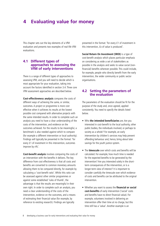## **4 Evaluating value for money**

This chapter sets out the key elements of a VfM evaluation and presents two examples of real-life VfM evaluations.

#### **4.1 Different types of approaches to assessing the VfM of early interventions**

There is a range of different types of approaches to assessing VfM, and you will need to decide which is most appropriate for your evaluation, taking into account the factors identified in section 3.4. Three core VfM assessment approaches are described below.

**Cost-effectiveness analysis** compares the costs of different ways of achieving the same, or similar, outcomes. A project or programme is more cost effective when it achieves its results at the lowest possible cost compared with alternative projects with the same intended results. In order to complete such an analysis you need to have a clear understanding of the costs of the intervention, and evidence on the outcomes achieved. For the results to be meaningful, a benchmark is also needed against which to compare (for example a different intervention or local authority). Findings will typically be presented in the format: 'for every £1 of investment in this intervention, outcomes improve by x%'.

**Cost-benefit analysis** involves comparing the costs of an intervention with the benefits it delivers. The key difference from cost effectiveness is that all costs and benefits are converted to common monetary amounts allowing them to be compared directly, for example by calculating a 'cost-benefit ratio'. Whilst this ratio can be assessed against other similar programmes or against some established 'rules of thumb', the advantage is that the results are meaningful in their own right. In order to complete such an analysis, you need a clear understanding of the costs of the intervention, evidence on the outcomes, and a means of estimating their financial value (for example, by reference to existing research). Findings are typically

presented in the format: 'for every £1 of investment in this intervention, £x of value is produced'.

**Social Return On Investment (SROI)** is a type of cost-benefit analysis which places particular emphasis on considering as wide a set of stakeholders as possible in the analysis and seeks to value social (nonfinancial) benefits wherever possible. This could include, for example, people who directly benefit from the early intervention, the wider community or public sector organisations.

#### **4.2 Setting the parameters of the evaluation**

The parameters of the evaluation should be fit for the purpose of the study and, once agreed, applied consistently. You need to specify the details listed below.

- Who **the intended beneficiaries** are. Are you interested in cost-benefit to the local authority, other public bodies, the individuals involved, or perhaps to society as a whole? For example, an early intervention by children's services may help prevent offending behaviour and, hence, bring about later savings for the youth justice system.
- The **timescale** over which costs and benefits will be calculated. For example, how much time is needed for the expected benefits to be generated by the intervention? Are you interested solely in the shortterm consequences of the intervention, or is a longer-term view of interest? It is important to consider carefully the timescale over which evidence of costs and benefits can be attributed to the original intervention.
- Whether you want to assess the **financial or social cost-benefits** of early intervention ('social' costs and benefits have no direct financial value). For example, volunteers involved in delivering an intervention offer their time at no charge, but this time still has a 'value'. Another example is an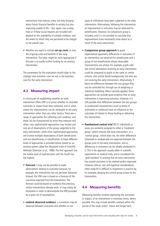intervention that reduces crime, not only bringing about future financial benefits to society, but also improving quality of life – this, again, has a value. How or if these social impacts are included will depend on the availability of suitable evidence, and the extent to which they are perceived to be integral to the overall case.

• Whether you want to include **set-up costs**, or only the ongoing costs and benefits of the early intervention. The latter might be more appropriate if the plan is to justify further funding for an existing intervention.

The parameters for the evaluation should align to the strategic and economic case set out in the business case for the early intervention.

## **4.3 Measuring impact**

A critical part of establishing whether an early intervention offers VfM is to prove whether its intended outcomes or impact have been achieved, and to what extent the improvements can be attributed to the early intervention rather than any other factors. There are a range of approaches for collecting such evidence, and these can be characterised by what they measure and when. Less sophisticated approaches may involve just one set of observations of the group subjected to the early intervention, while more sophisticated approaches will involve multiple observations of both beneficiaries and non-beneficiaries. A classification of these different levels of approaches is provided below, based on an existing system called the Maryland Scale of Scientific Methods (Sherman et al., 1998). The first approach has the lowest level of sophistication and the fourth has the highest.

- **Forecast**: it may not be possible to make observations relating to outcomes because, for example, the intervention has not yet been delivered. Instead, the VfM case is based on a forecast of the outcomes expected from the intervention. The forecast could be based on evidence that previous, similar interventions already work, or may simply be illustrative in order to demonstrate the VfM provided by a given set of assumptions.
- **Limited observed evidence**: a correlation may be observed between outcomes and whether or not

areas or individuals have been subjected to the early intervention. Alternatively, following the intervention, an improvement in outcomes may be observed for beneficiaries. However, no comparison group is included, and it is not possible to conclude that improvements have necessarily come about as a result of the early intervention.

- **Comparison group approach** (a quasiexperimental approach): differences in outcomes of an intervention are observed for beneficiaries and a group of non-beneficiaries whose observable characteristics are similar. For example, pupils with low school attendance receiving an early intervention could be compared to pupils at the same or similar schools, with similar family backgrounds, but who are not receiving the early intervention. Alternatively, if there are differences between the two groups they can be controlled for, through use of weighting or statistical modelling.When carefully applied, these approaches can provide good evidence that an early intervention is improving outcomes. However, it is still possible that differences between the two groups in unobserved characteristics (such as levels of motivation or resilience) have an influence on the outcomes of interest to those funding or delivering the intervention.
- **Randomised control trial** (RCT): individuals or areas are randomly assigned to either a 'treatment group', which receives the early intervention, or a 'control group', which does not. No other differences (observed or unobserved) are expected between the groups prior to the early intervention, and so differences in outcomes can be reliably attributed to it. This is the approach usually taken in scientific experiments or medical trials, and is considered the 'gold standard' in proving that an early intervention has caused outcomes to be realised and/or improved. However, ethical, cost and logistical considerations often make RCTs difficult to implement in practice by, for example, denying the control group access to the intervention.

## **4.4 Measuring benefits**

Measuring benefits involves expressing the outcomes, or impact, of an intervention in monetary terms, where possible. This may include benefits realised within the period of the study and/or future and longer-term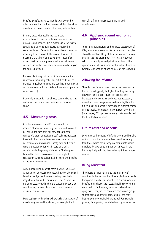benefits. Benefits may also include costs avoided to other local services, or draw on research into the wider, social and economic benefits of an early intervention.

In many cases with health and social care interventions, it is not possible to monetise all the outcomes and impacts. This is most usually the case for social and environmental impacts as opposed to economic impact. Benefits that cannot be expressed in monetary terms should still be recorded as part of measuring the VfM of an intervention – quantified where possible, or using more qualitative evidence to describe the further benefits to be considered alongside the figures provided.

For example, it may not be possible to measure the impacts on community cohesion, but it could still be included in qualitative terms and couched in terms such as the intervention is also likely to have a small positive impact on […].

If an early intervention has already been delivered, and evaluated, the benefits are measured as described above.

## **4.5 Measuring costs**

In order to demonstrate VfM, a measure is also required of how much an early intervention has cost to deliver. On the face of it, this may appear just to consist of a grant or additional staff salaries. However, there will often be additional resources required to deliver an early intervention. Exactly how or if certain costs are accounted for will, in part, be a policy decision at the beginning of the study. The key point here is that these decisions need to be applied consistently when calculating all the costs and benefits of the early intervention.

As with measuring benefits, there may be some costs which cannot be measured directly, but they should still be acknowledged and, where possible, their likely magnitude estimated in qualitative terms (relative to the other costs considered in the study). They could be described as, for example, a small cost saving or a *moderate cost increase*.

More sophisticated studies will typically take account of a wider range of additional costs, for example, the full

cost of staff time, infrastructure and in-kind contributions.

## **4.6 Applying sound economic principles**

To ensure a fair, rigorous and balanced assessment of VfM, a number of economic techniques and principles should be applied. Many of these are outlined in more detail in the The Green Book (HM Treasury, 2003b). Whilst the techniques and principles will not all be appropriate in all cases, more sophisticated studies will typically take account of one or more of the following:

#### **Allowing for inflation**

The effects of inflation mean that prices measured in the future will typically be higher than they are today. However, this is a consequence of general price increases in the economy, and does not necessarily mean that these things are valued more highly in the future. Costs and benefits measured at different points in time should, therefore, use a consistent price base (for example, 2011 prices), whereby costs are adjusted for the effects of inflation.

#### **Future costs and benefits**

Separately to the effects of inflation, costs and benefits which occur in the future are less valued by society than those which occur today. A discount rate should, therefore, be applied to impacts which occur in the future, typically reducing their value by 3.5 percent per annum.

#### **Being consistent**

The decisions made relating to the 'parameters' described in this section should be applied consistently throughout a study. For example, if ten years' worth of benefits are included, then costs should also cover this same period. Furthermore, consistency should also apply across early intervention and comparison groups, so that costs and benefits calculated for the early intervention are genuinely incremental. For example, you may be exploring the VfM offered by an enhanced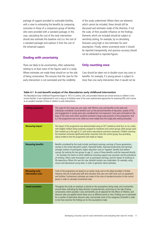package of support provided to vulnerable families, with a view to estimating the benefits by comparing outcomes to those of a comparison group of families who were provided with a standard package. In this case, calculating the cost of the early intervention should also estimate this baseline cost (i.e. the cost of a standard package) and subtract it from the cost of the enhanced support.

#### **Dealing with uncertainty**

There are likely to be uncertainties, often substantial, relating to at least some of the figures used in a study. Where estimates are made these should err on the side of being conservative. This ensures that the case for the early intervention is not overstated and the credibility

of the study undermined. Where there are elements which cannot be included, these should still be discussed and estimates made of the direction, if not the scale, of their possible influence on the findings. Elements which are included should be subject to sensitivity testing, for example, by re-calculating forecasts using high or low estimates for each assumption. Finally, where uncertainly exists it should be reported transparently, and spurious accuracy should not be attributed to reported figures.

#### **Only counting once**

Care should be taken not to double-count any costs or benefits. For example, if a young person is subject to more than one early intervention then it would not be

#### **Table 4.1 A cost-benefit analysis of the Abecedarian early childhood intervention**

The Abecedarian Early Childhood Programme began in 1972 in Carolina, USA, and provided intensive pre-school services to children in lowincome families. It was implemented in such a way as to facilitate some of the more sophisticated approaches for assessing VfM, and it serves as an excellent example of these in relation to early interventions.

| <b>Setting parameters</b>                    | The scope for this study was very wide, with lifetime costs and benefits to the state and<br>individuals considered. Social benefits such as the personal benefits of education, quality of life,<br>and engagement in society were also considered but not measured. Costs were estimated on the<br>basis of the total costs which would be involved in large-scale provision of the programme, that<br>is, if the programme was to be rolled out more widely than the single pilot setting evaluated.                                                                                                                                                                                                                                                                                |
|----------------------------------------------|----------------------------------------------------------------------------------------------------------------------------------------------------------------------------------------------------------------------------------------------------------------------------------------------------------------------------------------------------------------------------------------------------------------------------------------------------------------------------------------------------------------------------------------------------------------------------------------------------------------------------------------------------------------------------------------------------------------------------------------------------------------------------------------|
| <b>Measuring impact</b>                      | The impact of the programme was demonstrated using an RCT (ranked as level four on our scale),<br>with eligible children being randomly assigned to treatment and control groups. Both groups were<br>then tracked up to the age of 21 and various educational outcomes measured. Children receiving<br>the treatment achieved significantly better outcomes than the control group, thus providing<br>robust evidence that the programme had made an impact.                                                                                                                                                                                                                                                                                                                          |
| <b>Measuring benefits</b>                    | Benefits considered by the study include: participant earnings, earnings of future generations,<br>savings to the school education system, improved health, improved productivity and earnings<br>amongst mothers of participants, higher education costs (a 'negative' benefit) and welfare<br>savings. By tracking the two groups to age 21, some of these benefits could be measured directly<br>- for example, the extent to which additional schooling support was accessed, and the prevalence<br>of smoking. Others were forecasted, such as participant earnings, and the impact of smoking on<br>life expectancy. Where this was the case, detailed analysis was undertaken, for example, using<br>census and educational survey data, in order to generate robust estimates. |
| <b>Measuring early</b><br>intervention costs | Costs of the programme are based on an earlier study, and so the detail provided is limited.<br>However, they do include paid staff and volunteer time, plus non-staff costs such as equipment<br>and facilities. Furthermore, estimates are made of the costs of standard provision to the control<br>group in order to calculate incremental costs.                                                                                                                                                                                                                                                                                                                                                                                                                                  |
| <b>Sound economics</b>                       | Throughout the study an emphasis is placed on the assumptions being made, and uncertainties<br>around these, indicating the likely direction of potential bias, and erring on the side of being<br>conservative, where possible. Costs and benefits are all adjusted for the effects of inflation, and<br>discount rates are applied where these occur at different points in time. Findings are re-calculated<br>for a number of alternative discount rates, and exclude some of the categories of benefit in order<br>to test how sensitive the findings are to the assumptions made.                                                                                                                                                                                                |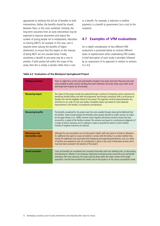appropriate to attribute the full set of benefits to both interventions. Rather, the benefits should be shared between them, or the costs combined. Similarly, the long-term outcomes from an early intervention may be expected to improve attainment and reduce the number of young people not in employment, education or training (NEET), for example. In this case, care is required when valuing the benefits of higher attainment, to ensure that the impact on the chances of being NEET are not counted twice. Finally, sometimes a benefit to one party may be a cost to another; if both parties fall within the scope of the study, then this is simply a transfer rather than a cost

or a benefit. For example, a reduction in welfare payments is a benefit to government, but a cost to the recipients.

## **4.7 Examples of VfM evaluations**

An in-depth consideration of two different VfM evalautions is presented below to contrast different levels of sophistication when undertaking VfM studies. A brief description of each study is provided, followed by an assessment of its approach in relation to sections 4.2–4.6.

| <b>Setting parameters</b>                    | There is a tight focus on the costs and benefits included in the study: short-term financial costs (and<br>costs avoided) to public services resulting from each individual case study. Setup costs, wider social<br>and longer-term impacts are all excluded.                                                                                                                                                                                                                                                                                                         |
|----------------------------------------------|------------------------------------------------------------------------------------------------------------------------------------------------------------------------------------------------------------------------------------------------------------------------------------------------------------------------------------------------------------------------------------------------------------------------------------------------------------------------------------------------------------------------------------------------------------------------|
| <b>Measuring impact</b>                      | The impact of the project overall was explored through a mixture of comparing various outcomes for<br>beneficiary families before and after the programme, and through comparison with a small group of<br>families who met the eligibility criteria for the project. This approach could be placed between two<br>and three on our scale. For the case studies, immediate impact was based on some observed<br>improvements in the families' circumstances and behaviour.                                                                                             |
| <b>Measuring benefits</b>                    | The benefits considered for the project were the costs avoided through reducing the likelihood that<br>the families' needs would escalate and therefore place greater demand on public services. As noted<br>by the paper (Ravey et al., 2008), however, these negative alternative scenarios would only have<br>occurred for a subset of the families involved. The scenarios are based on a professional judgement of<br>a range of what-if scenarios, and no attempt is made to quantify the extent to which families'<br>chances of negative outcomes are reduced. |
| <b>Measuring early</b><br>intervention costs | Although the cost assumptions are not discussed in detail, staff costs seem to include an allowance<br>for additional time spent on cases not directly in contact with the family. It is unclear whether they<br>include the additional costs associated with employing and supporting practitioners, such as a share<br>of facilities and equipment costs. No consideration is given to the costs of alternative services which<br>may have been accessed in the absence of the project.                                                                              |
| <b>Sound economics</b>                       | Costs and benefits are considered over consistent timescales which are relatively short, so discounting<br>and allowing for inflation is not necessary. Substantial uncertainty exists around the cost and benefit<br>estimates; with more resources, the study could set these within the wider context of the target<br>population, and test how sensitive the overall case for the project is to the various assumptions made.                                                                                                                                      |

#### **Table 4.2 Evaluation of the Blackpool Springboard Project**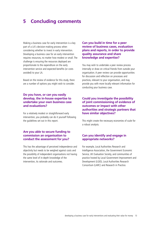# **5 Concluding comments**

Making a business case for early intervention is a key part of a LA's decision-making process when considering whether to invest in early intervention. Developing a business case for an early intervention requires resources, no matter how modest or small. The challenge is ensuring the resources deployed are proportionate to the expenditure on the early intervention service and expected benefits (or costs avoided) to your LA.

Based on the review of evidence for this study, there are a number of options you might wish to consider.

#### **Do you have, or can you easily develop, the in-house expertise to undertake your own business case and evaluations?**

For a relatively modest or straightforward early intervention, you probably can do it yourself following the guidelines set out in this report.

#### **Are you able to secure funding to commission an organisation to conduct the assessment for you?**

This has the advantage of perceived independence and objectivity but needs to be weighed against costs and the possibility of independent organisations not having the same level of in-depth knowledge of the intervention, its rationale and outcomes.

#### **Can you build in time for a peer review of business cases, evaluation plans and reports, in order to provide quality assurance and share knowledge and expertise?**

You may wish to undertake a peer review process internally or draw on critical friends from outside your organisation. A peer review can provide opportunities for discussion and reflection on processes and practices, relevant to your organisation, and may provide you with more locally relevant information for conducting your business case.

#### **Could you investigate the possibility of joint commissioning of evidence of outcomes or impact with other authorities and strategic partners that have similar objectives?**

This might create the necessary economies of scale for a robust analysis.

#### **Can you identify and engage in appropriate networks?**

For example, Local Authorities Research and Intelligence Association, the Government Economic Service, UK Evaluation Society, and communities of practice hosted by Local Government Improvement and Development (LGID), Local Authorities Research Consortium (LARC) and Research in Practice.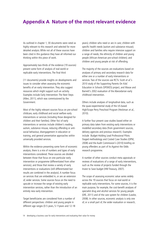# **Appendix A Nature of the most relevant evidence**

As outlined in chapter 1, 30 documents were rated as highly relevant to this research and selected for more detailed analysis. While not all of these sources have been cited in this guidance they have all informed our thinking within this piece of work.

Approximately two-thirds of the evidence (19 sources) present some form of analysis of real-world or replicable early interventions. The final third

(11 documents) provide insights on developments and issues to consider when assessing the economic benefits of an early intervention. They also suggest resources which might support such an activity. Examples include Early Intervention: The Next Steps (Allen, 2011), which was commissioned by the Government.

Most of the highly relevant sources focus on pre-school childcare, early childhood and social welfare early interventions or services (including those designed for children and their families). Other foci of early interventions or services include children's reading, autism, substance misuse, reducing offending or antisocial behaviour, disengagement in education or training, and general preventative approaches within universally provided services.

Within the evidence presenting some form of economic analysis, there is a mix of numbers and types of early interventions considered. These sources are divided between those that focus on one particular early intervention or programme (differentiated from other services), and those that review a variety of early interventions or evaluations (still differentiated but results are combined in the analysis). A number focus on services that are embedded in, or are an extension of, wider services. Some sources focus on the need to upscale or increase the range of existing early intervention services, rather than the introduction of an entirely new early intervention.

Target beneficiaries are considered from a number of different perspectives: children and young people in different age ranges (0-5 years, 5-11years and 12-18 years); children who need or are in care; children with specific health needs (autism and substance misuse); children and families who require intensive support on a range of needs; the ethnicity of children and young people (African-American pre-school children); and children and young people at risk of offending.

The majority of the sources are evaluations based on analyses of primary and secondary research data for either one or a number of early interventions or services. Two of the sources use RCTs: Scott et al.'s 2010 study of the Supporting Parents On Kids' Education in Schools (SPOKES) project, and Masse and Barnett's 2002 evaluation of the Abecedarian early childhood intervention.

Others include analyses of longitudinal data, such as the quasi-experimental study of the US-based High/Scope Perry Preschool Program (Heckman et al., 2010).

A further four present case studies based either on primary data taken from existing early interventions or modelled secondary data (from government sources, delivery agencies and previous research). Examples include Budget-Holding Lead Professional Pilots: Staged methodology and Costed Case Studies (OPM, 2008) and the Audit Commission's (2010) briefing on young offenders as part of its Against the Odds research programme.

A number of other sources conduct meta appraisals or reviews of evaluations of a range of early interventions, such as the review of projects funded through the Invest to Save budget (HM Treasury, 2007).

The scope of assessing economic value varies widely across the 19 sources that focus on real-world or replicable early interventions. For some sources, it is the main purpose, for example, the cost-benefit analyses of specialist drug and alcohol services for young people (DfE, 2011) and of the care system for children (Lawlor, 2008). In other sources, economic analysis is only one of, or a small part of, the wider evaluation or research,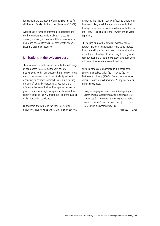for example, the evaluation of an intensive service for children and families in Blackpool (Ravey et al., 2008).

Additionally, a range of different methodologies are used to conduct economic analyses in these 19 sources, producing studies with different combinations and forms of cost-effectiveness, cost-benefit analysis, SROI and economic modelling.

#### **Limitations in the evidence base**

The review of relevant evidence identified a wide range of approaches to assessing the VfM of early interventions. Within this evidence base, however, there are too few sources of sufficient similarity to identify distinctive, or common, approaches used in assessing the VfM of an early intervention. Specifically, the differences between the identified approaches are too great to make meaningful comparisons between them either in terms of the VfM methods used or the type of early intervention considered.

Furthermore, the nature of the early interventions under investigation varies widely and, in some sources, is unclear. This means it can be difficult to differentiate between activity which has discrete or time-limited funding; or between activities which are embedded in other services compared to those which are delivered separately.

The varying purposes of different evidence sources further limit their comparability. While some sources focus on making a business case for the continuation of (or further) funding, others investigate the general case for adopting a more preventative approach within existing mainstream or universal services.

Such limitations are underlined in a number of the sources themselves (Allen (2011); C4EO (2010); McCrone and Knapp (2007)). One of the most recent evidence sources, which reviews 72 early intervention programmes, notes:

*Many of the programmes in the list developed by my review produce substantial economic benefits to local authorities* [...]. *However, the metrics for assessing costs and benefits remain varied, and* [...] *in some cases, there is no information at all.*

Allen (2011, p.78)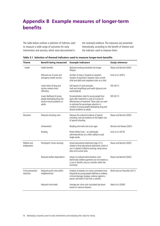# **Appendix B Example measures of longer-term benefits**

The table below outlines a selection of indictors used to measure a wide range of outcomes for early intervention and services, which were documented in the reviewed evidence. The measures are presented thematically, according to the benefit of interest and the indicator used to measure them.

| Theme                          | <b>Benefit being measured</b>                                                                   | <b>Example indicators</b>                                                                                                                                                                                                                                                | <b>Study reference</b>           |
|--------------------------------|-------------------------------------------------------------------------------------------------|--------------------------------------------------------------------------------------------------------------------------------------------------------------------------------------------------------------------------------------------------------------------------|----------------------------------|
| Health                         | Health benefits                                                                                 | Reduced smoking translated into longer<br>lifespan.                                                                                                                                                                                                                      | Masse and Barnett (2002)         |
|                                | Reduced use of acute and<br>emergency health services                                           | Number of stays in hospital as inpatient.<br>Number of psychiatric inpatient visits as both<br>child and adult and outpatient visits as a child.                                                                                                                         | Scott <i>et al.</i> (2001)       |
|                                | Lower levels of drug and<br>alcohol related crime/<br>offending                                 | Self reports of crime (assaults,<br>theft and shoplifting) and health (physical and<br>psychological).                                                                                                                                                                   | DfE (2011)                       |
|                                | Lower likelihood of young<br>people developing drug and<br>alcohol misuse problems as<br>adults | Re-presentation rates for young people four<br>years after treatment is used as a proxy for<br>effectiveness of treatment. These rates are used<br>to estimate the percentage reduction in<br>numbers of young people developing drug and<br>alcohol problems as adults. | DfE (2011)                       |
| Education                      | Reduced schooling costs                                                                         | Measure the reduced incidence of special<br>schooling, and use evidence on the higher cost<br>of special schooling.                                                                                                                                                      | Masse and Barnett (2002)         |
|                                | Achievement                                                                                     | Reading and maths test score ages.                                                                                                                                                                                                                                       | Borman and Hewes (2001)          |
|                                | Reading                                                                                         | British Ability Scale - an individually<br>administered test of a child's ability to read<br>single words.                                                                                                                                                               | Scott et al. (2010)              |
| Welfare and<br>employment      | Participants' future earnings                                                                   | Actual educational attainment (age 21) is<br>related to final educational attainment, which in<br>turn is related to lifetime earnings using census<br>data and survival rates.                                                                                          | Masse and Barnett (2002)         |
|                                | Reduced welfare dependence                                                                      | Impact on reduced administration costs<br>(technically welfare payments are not treated as<br>a cost or benefit, only as a transfer within the<br>economy).                                                                                                              | Masse and Barnett (2002)         |
| Crime prevention/<br>reduction | Reduced youth crime within<br>neighbourhood                                                     | Analysis of statistics on crimes committed more<br>frequently by young people (defined as robbery,<br>criminal damage, burglary, violence against a<br>person and theft of and from a vehicle).                                                                          | Nevill and van Poortvliet (2011) |
|                                | Reduced crime levels                                                                            | Average per crime costs calculated top-down<br>based on national datasets.                                                                                                                                                                                               | Aked et al. (2009)               |

**Table 3.1 Selection of themed indicators used to measure longer-term benefits**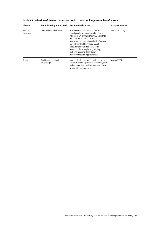| Theme                    | <b>Benefit being measured</b>             | <b>Example indicators</b>                                                                                                                                                                                                                                                                                                                                                                                                               | <b>Study reference</b>     |
|--------------------------|-------------------------------------------|-----------------------------------------------------------------------------------------------------------------------------------------------------------------------------------------------------------------------------------------------------------------------------------------------------------------------------------------------------------------------------------------------------------------------------------------|----------------------------|
| Anti-social<br>behaviour | Child anti-social behaviour               | Actual measurement using a standard<br>investigator-based interview called Parent<br>Account of Child Symptoms (PACS), similar to<br>the Child and Adolescent Psychiatric<br>Assessment, and administered twice (pre- and<br>post-intervention) to measure parent's<br>assessment of their child's anti-social<br>behaviours, for example, lying, stealing,<br>tantrums, rudeness, disobedience,<br>destructiveness and aggressiveness. | Scott <i>et al.</i> (2010) |
| Family                   | Quality and stability of<br>relationships | Measured as level of contact with families, and<br>valued as annual expenditure on hobbies, treats<br>and activities. Also considers transactional costs<br>of unstable care placements.                                                                                                                                                                                                                                                | Lawlor (2008)              |

**Table 3.1 Selection of themed indicators used to measure longer-term benefits** *cont'd*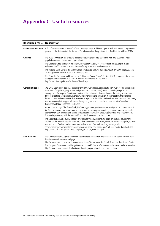# **Appendix C Useful resources**

| <b>Resources for  Description</b> |                                                                                                                                                                                                                                                                                                                                                                                                                                                                                                                                                                                                                                                                                                                                         |
|-----------------------------------|-----------------------------------------------------------------------------------------------------------------------------------------------------------------------------------------------------------------------------------------------------------------------------------------------------------------------------------------------------------------------------------------------------------------------------------------------------------------------------------------------------------------------------------------------------------------------------------------------------------------------------------------------------------------------------------------------------------------------------------------|
|                                   | Evidence of outcomes A list of evidence-based practice databases covering a range of different types of early intervention programmes is<br>provided in the first report of the Review of Early Intervention, Early Intervention: The Next Steps (Allen, 2011).                                                                                                                                                                                                                                                                                                                                                                                                                                                                         |
| <b>Costings</b>                   | The Audit Commission has a costing tool to forecast long-term costs associated with local authority's NEET<br>population www.audit-commission.gov.uk/neet                                                                                                                                                                                                                                                                                                                                                                                                                                                                                                                                                                               |
|                                   | The Centre for Child and Family Research (CCfR) at the University of Loughborough has developed a cost<br>calculator for children's services http://www.ccfcs.org.uk/research-and-development/                                                                                                                                                                                                                                                                                                                                                                                                                                                                                                                                          |
|                                   | The Personal Social Services Research Unit has developed a resource called Unit Costs of Health and Social Care<br>2010 http://www.pssru.ac.uk/uc/uc2010contents.htm                                                                                                                                                                                                                                                                                                                                                                                                                                                                                                                                                                    |
|                                   | The Centre for Excellence and Outcomes in Children and Young People's Services (C4EO) has produced a resource<br>to support the assessment of the cost of effective interventions (C4EO, 2010)<br>http://www.c4eo.org.uk/costeffectiveness/default.aspx                                                                                                                                                                                                                                                                                                                                                                                                                                                                                 |
| <b>General guidance</b>           | The Green Book is HM Treasury's quidance for Central Government, setting out a framework for the appraisal and<br>evaluation of all policies, programmes and projects (HM Treasury, 2003). It sets out the key stages in the<br>development of a proposal from the articulation of the rationale for intervention and the setting of objectives,<br>through to options appraisal and, eventually, implementation and evaluation. It describes how the economic,<br>financial, social and environmental assessments of a proposal should be combined and aims to ensure consistency<br>and transparency in the appraisal process throughout government. It can be accessed at http://www.hm-<br>treasury.gov.uk/data_greenbook_index.htm |
|                                   | As a supplementary to The Green Book, HM Treasury provides <i>quidance on the development and assessment of</i><br>business cases which can be accessed at http://www.hm-treasury.gov.uk/data_greenbook_business.htm and a<br>user quide on GDP deflators that can be accessed at http://www.hm-treasury.gov.uk/data_gdp_index.htm. HM<br>Treasury in partnership with the National School for Government provides courses.                                                                                                                                                                                                                                                                                                             |
|                                   | The Magenta Book, also by HM Treasury, provides user-friendly guidance for policy officials and government<br>analysts on the methods used by social researchers when they commission, undertake and manage policy research<br>and evaluation. This is an online resource accessible at http://www.civilservice.gov.uk/my-civil-<br>service/networks/professional/gsr/resources/magenta-book-main-page.aspx. A full copy can be downloaded at<br>http://www.civilservice.gov.uk/Assets/complete_Magenta_tcm6-8611.pdf                                                                                                                                                                                                                   |
| <b>VfM</b> methods                | The Cabinet Office (2009) has developed A guide to Social Return on Investment that can be downloaded from<br>New Economics Foundation webpage<br>http://www.neweconomics.org/sites/neweconomics.org/files/A_guide_to_Social_Return_on_Investment_1.pdf.<br>The European Commission provides quidance and a toolkit for cost effectiveness analysis that can be accessed at<br>http://ec.europa.eu/europeaid/evaluation/methodology/egeval/tools/too_cef_som_en.htm                                                                                                                                                                                                                                                                     |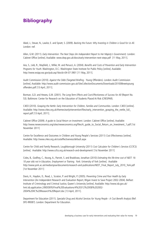# **Bibliography**

Aked, J., Steuer, N., Lawlor, E. and Spratt, S. (2009). *Backing the Future: Why Investing in Children is Good for Us All*. London: nef.

Allen, G.M. (2011). *Early Intervention: The Next Steps (An Independent Report to Her Majesty's Government).* London: Cabinet Office [online]. Available: www.dwp.gov.uk/docs/early-intervention-next-steps.pdf [11 May, 2011].

Aos, S., Lieb, R., Mayfield, J., Miller, M. and Penucci, A. (2004). *Benefits and Costs of Prevention and Early Intervention Programs for Youth*. Washington, D.C.: Washington State Institute for Public Policy [online]. Available: http://www.wsipp.wa.gov/pub.asp?docid=04-07-3901 [11 May, 2011].

Audit Commission (2010). *Against the Odds* (Targeted Briefing - Young Offenders). London: Audit Commission [online]. Available: http://www.audit-commission.gov.uk/SiteCollectionDocuments/Downloads/201008neetsyoung offenders.pdf [13 April, 2011].

Borman, G.D. and Hewes, G.M. (2001). *The Long-Term Effects and Cost-Effectiveness of Success for All* (Report No. 53). Baltimore: Center for Research on the Education of Students Placed At Risk (CRESPAR).

C4EO (2010). *Grasping the Nettle: Early Intervention for Children, Families and Communities*. London: C4EO [online]. Available: http://www.c4eo.org.uk/themes/earlyintervention/files/early\_intervention\_grasping\_the\_nettle\_full\_ report.pdf [13 April, 2011].

Cabinet Office (2009). *A guide to Social Return on Investment*. London: Cabinet Office [online]. Available: http://www.neweconomics.org/sites/neweconomics.org/files/A\_guide\_to\_Social\_Return\_on\_Investment\_1.pdf [1st November 2011]

Centre for Excellence and Outcomes in Children and Young People's Services (2011) *Cost Effectiveness* [online]. Available: http://www.c4eo.org.uk/costeffectiveness/default.aspx

Centre for Child and Family Research, Loughborough University (2011) *Cost Calculator for Children's Services* (CCfCS) [online]. Available: http://www.ccfcs.org.uk/research-and-development/ [1st November 2011]

Coles, B., Godfrey, C., Keung, A., Parrott, S. and Bradshaw, Jonathan (2010) *Estimating the life-time cost of NEET: 16- 18 year olds not in Education, Employment or Training*. York: University of York [online]. Available http://www.york.ac.uk/media/spsw/documents/research-and-publications/NEET\_Final\_Report\_July\_2010\_York.pdf [1st November 2011]

Davis, H., Haydon, D., Read, J., Scraton, P. and Wright, P. (2005). *Preventing Crime and Poor Health by Early Intervention* (An Independent Research and Evaluation Report, Wigan Invest to Save Project 2002-2004). Belfast: Institute of Criminology and Criminal Justice, Queen's University [online]. Available: http://www.isb.gov.uk/ hmt.isb.application.2/BIDDERS/Final%20Evaluations/4%20312%20ISB%202002- 2004%20IIC%20Research%20Report.doc [13 April, 2011].

Department for Education (2011). *Specialist Drug and Alcohol Services for Young People - A Cost Benefit Analysis* (Ref: DFE-RR087). London: Department for Education.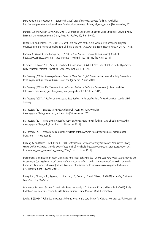Development and Cooperation – EuropeAid (2005) *Cost-effectiveness analysis* [online]. Available: http://ec.europa.eu/europeaid/evaluation/methodology/egeval/tools/too\_cef\_som\_en.htm [1st November, 2011]

Duncan, G.J. and Gibson-Davis, C.M. (2011). 'Connecting Child Care Quality to Child Outcomes: Drawing Policy Lessons from Nonexperimental Data', *Evaluation Review*, **30**, 5, 611–630.

Foster, E.M. and Holden, E.W. (2011). 'Benefit-Cost Analyses of the Child Welfare Demonstration Projects: Understanding the Resource Implications of the IV-E Waivers', *Children and Youth Services Review*, **24**, 431–453.

Hannon, C., Wood, C. and Bazalgette, L. (2010). *In Loco Parentis*. London: Demos [online]. Available: http://www.demos.co.uk/files/In Loco Parentis - web.pdf?1277484312 [13 April, 2011].

Heckman, J.J., Moon, S.H., Pinto, R., Savelyev, P.A. and Yavitz, A. (2010). 'The Rate of Return to the High/Scope Perry Preschool Program', *Journal of Public Economics*, **94**, 114–128.

HM Treasury (2003a). *Assessing Business Cases: 'A Short Plain English Guide'* [online]. Available: http://www.hmtreasury.gov.uk/d/greenbook\_businesscase\_shortguide.pdf [2 June, 2011].

HM Treasury (2003b). *The Green Book. Appraisal and Evaluation in Central Government* [online]. Available: http://www.hm-treasury.gov.uk/d/green\_book\_complete.pdf [28 October, 2011].

HM Treasury (2007). *A Review of the Invest to Save Budget: An Innovation Fund for Public Services*. London: HM Treasury.

HM Treasury (2011) *Business case guidance* [online]. Available: http://www.hmtreasury.gov.uk/data\_greenbook\_business.htm [1st November 2011]

HM Treasury (2011) *Gross Domestic Product (GDP) deflators: a user's guide* [online]. Available: http://www.hmtreasury.gov.uk/data\_gdp\_index.htm [1st November 2011]

HM Treasury (2011) *Magenta Book* [online]. Available: http://www.hm-treasury.gov.uk/data\_magentabook\_ index.htm [1st November 2011]

Hosking, G. and Walsh, I. with Pillai, B. (2010). *International Experience of Early Intervention for Children, Young People and Their Families*. Croydon: Wave Trust [online]. Available: http://www.wavetrust.org/reports/wave\_trust\_ international\_early\_intervention\_review\_2010\_0.pdf [11 May, 2011].

Independent Commission on Youth Crime and Anti-social Behaviour (2010). *The Case for a Fresh Start: Report of the Independent Commission on Youth Crime and Anti-social Behaviour*. London: Independent Commission on Youth Crime and Anti-social Behaviour [online]. Available: http://www.youthcrimecommission.org.uk/attachments/ 076 FreshStart.pdf [13 April, 2011].

Karoly, L.A., Kilburn, M.R., Bigelow, J.H., Caulkins, J.P., Cannon, J.S. and Chiesa, J.R. (2001). *Assessing Costs and Benefits of Early Childhood*

*Intervention Programs*. Seattle: Casey Family Programs.Karoly, L.A., Cannon, J.S. and Kilburn, M.R. (2011). Early Childhood Interventions: Proven Results, Future Promise. Santa Monica: RAND Corporation.

Lawlor, E. (2008). A False Economy: *How Failing to Invest in the Care System for Children Will Cost Us All*. London: nef.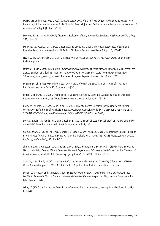Masse, L.N. and Barnett, W.S. (2002). *A Benefit Cost Analysis of the Abecedarian Early Childhood Intervention*. New Brunswick, NJ: National Institute for Early Education Research [online]. Available: http://nieer.org/resources/research/ AbecedarianStudy.pdf [13 April, 2011].

McCrone, P. and Knapp, M. (2007). 'Economic Evaluation of Early Intervention Services', *British Journal of Psychiatry*, **191**, s19–s22.

Motiwala, S.S., Gupta, S., Lilly, M.B., Ungar, W.J. and Coyte, P.C. (2006). 'The Cost-Effectiveness of Expanding Intensive Behavioural Intervention to All Autistic Children in Ontario', *Healthcare Policy*, **1**, 2, 135–151.

Nevill, C. and van Poortvliet, M. (2011). *Teenage Kicks:The Value of Sport in Tackling Youth Crime*. London: New Philanthropy Capital.

Office for Public Management (2008). *Budget-Holding Lead Professional Pilots: Staged Methodology and Costed Case Studies*. London: OPM [online]. Available: http://www.opm.co.uk/resource\_search?commit=Search&page= 2&resource\_library\_search\_keywords=Budget+holding+lead+professional+pilots [13 April, 2011].

Personal Social Services Research Unit (2010) *Unit Costs of Health and Social Care 2010* [online]. Available http://www.pssru.ac.uk/uc/uc2010contents.htm [1/11/11]

Petrou, S. and Gray, R. (2005). 'Methodological Challenges Posed by Economic Evaluations of Early Childhood Intervention Programmes', *Applied Health Economics and Health Policy*, **4**, 3, 175–181.

Ravey, M., Murphy, M., Long, T. and Fallon, D. (2008). *Evaluation of the Blackpool Springboard Project*. Salford: University of Salford [online]. Available: http://www.blackpool.gov.uk/NR/rdonlyres/2E586B2E-3725-48FE-9539- 72D0878B87CC/0/SpringboardEvaluation.pdf%3Cbr%20/%3E [28 October, 2011].

Scott, S., Knapp, M., Henderson, J. and Maughan, B. (2001). 'Financial Cost of Social Exclusion: Follow Up Study of Antisocial Children into Adulthood', *British Medical Journal*, **323**, 1–5.

Scott, S., Sylva, K., Doolan, M., Price, J., Jacobs, B., Crook, C. and Landau, S. (2010). 'Randomised Controlled Trial of Parent Groups for Child Antisocial Behaviour Targeting Multiple Risk Factors: The SPOKES Project', *Journal of Child Psychology and Psychiatry*, **51**, 1, 48–57.

Sherman, L. W., Gottfredson, D. C., MacKenzie, D. L., Eck, J., Reuter, P. and Bushway, S.D. (1998). *Preventing Crime: What Works, What Doesn't, What's Promising. Maryland: Department of Criminology and Criminal Justice, University of Maryland* [online]. Available: http://www.ncjrs.gov/pdffiles/171676.PDF [21 April 2011].

Statham, J. and Smith, M. (2011). *Issues in Earlier Intervention: Identifying and Supporting Children with Additional Needs*. (Research report no. DCSF-RR205). London: Department for Children, Schools and Families.

Sutton, C., Utting, D. and Farrington, D. (2011). *Support From the Start: Working with Young Children and Their Families to Reduce the Risks of Crime and Anti-social Behaviour* (Research report no. 524). London: Department for Education and Skills.

Witte, J.F. (2007). 'A Proposal for State, Income-Targeted, Preschool Vouchers', *Peabody Journal of Education*, **82**, 4, 617–644.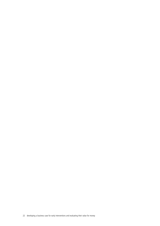developing a business case for early interventions and evaluating their value for money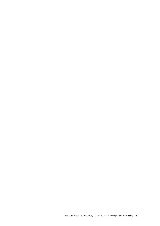developing a business case for early interventions and evaluating their value for money 23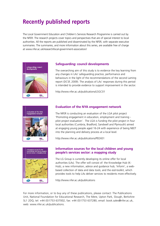# **Recently published reports**

The Local Government Education and Children's Services Research Programme is carried out by the NFER. The research projects cover topics and perspectives that are of special interest to local authorities. All the reports are published and disseminated by the NFER, with separate executive summaries. The summaries, and more information about this series, are available free of charge at www.nfer.ac.uk/research/local-government-association/



#### **Safeguarding: council developments**

The overarching aim of this study is to evidence the key learning from any changes in LAs' safeguarding practice, performance and behaviours in the light of the recommendations of the second Laming report (DCSF, 2009). The analysis of LAs' responses during this period is intended to provide evidence to support improvement in the sector.

http://www.nfer.ac.uk/publications/LSGC01





## **Evaluation of the NYA engagement network**

The NFER is conducting an evaluation of the LGA pilot project 'Promoting engagement in education, employment and training pilot project evaluation'. The LGA is funding the pilot project in four local authorities (Cumbria, Bradford, Sandwell and Plymouth) aimed at engaging young people aged 16-24 with experience of being NEET into the planning and delivery process at a local level.

http://www.nfer.ac.uk/publications/PEEX01

#### **Information sources for the local children and young people's services sector: a mapping study**

The LG Group is currently developing its online offer for local authorities (LAs). The offer will consist of: the Knowledge Hub (K-Hub), a new information, advice and guidance hub; 'Inform', a webbased collection of data and data tools; and the esd-toolkit, which provides tools to help LAs deliver services to residents more effectively.

http://www.nfer.ac.uk/publications

For more information, or to buy any of these publications, please contact: The Publications Unit, National Foundation for Educational Research, The Mere, Upton Park, Slough, Berkshire SL1 2DQ, tel: +44 (0)1753 637002, fax: +44 (0)1753 637280, email: book.sales@nfer.ac.uk, web: www.nfer.ac.uk/publications.